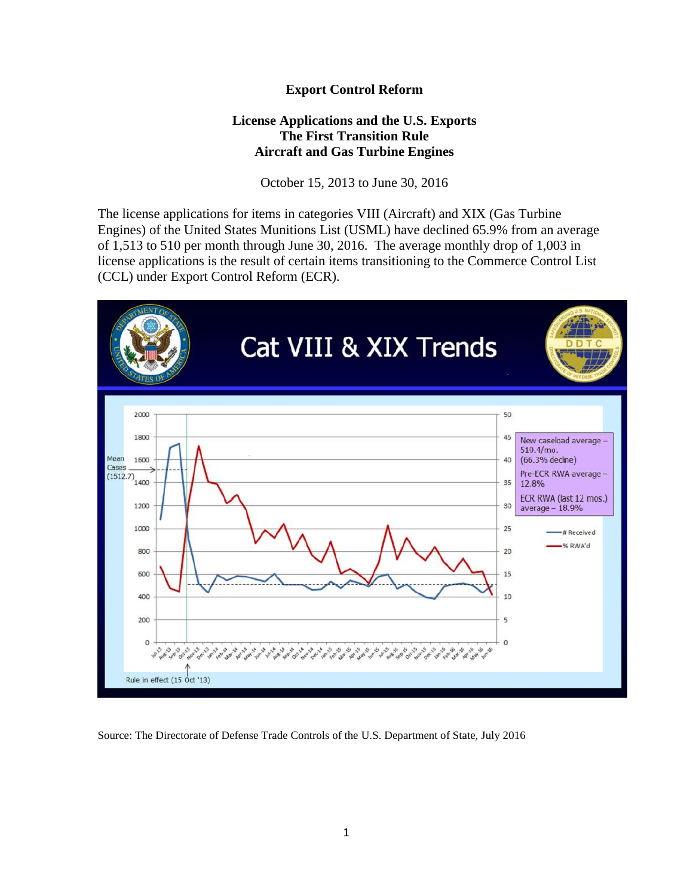## **Export Control Reform**

## **License Applications and the U.S. Exports The First Transition Rule Aircraft and Gas Turbine Engines**

October 15, 2013 to June 30, 2016

The license applications for items in categories VIII (Aircraft) and XIX (Gas Turbine Engines) of the United States Munitions List (USML) have declined 65.9% from an average of 1,513 to 510 per month through June 30, 2016. The average monthly drop of 1,003 in license applications is the result of certain items transitioning to the Commerce Control List (CCL) under Export Control Reform (ECR).



Source: The Directorate of Defense Trade Controls of the U.S. Department of State, July 2016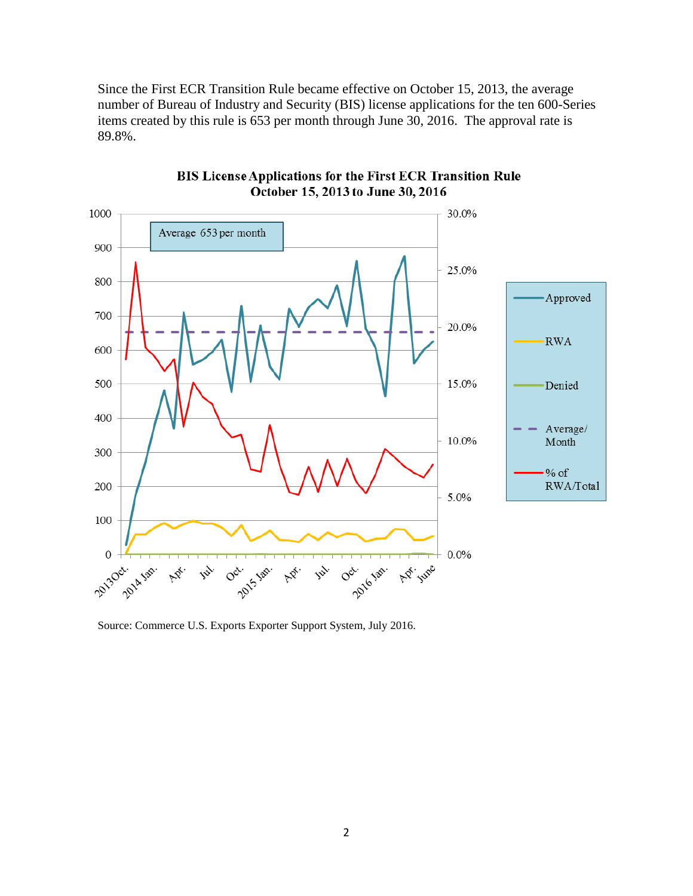Since the First ECR Transition Rule became effective on October 15, 2013, the average number of Bureau of Industry and Security (BIS) license applications for the ten 600-Series items created by this rule is 653 per month through June 30, 2016. The approval rate is 89.8%.



**BIS License Applications for the First ECR Transition Rule** October 15, 2013 to June 30, 2016

Source: Commerce U.S. Exports Exporter Support System, July 2016.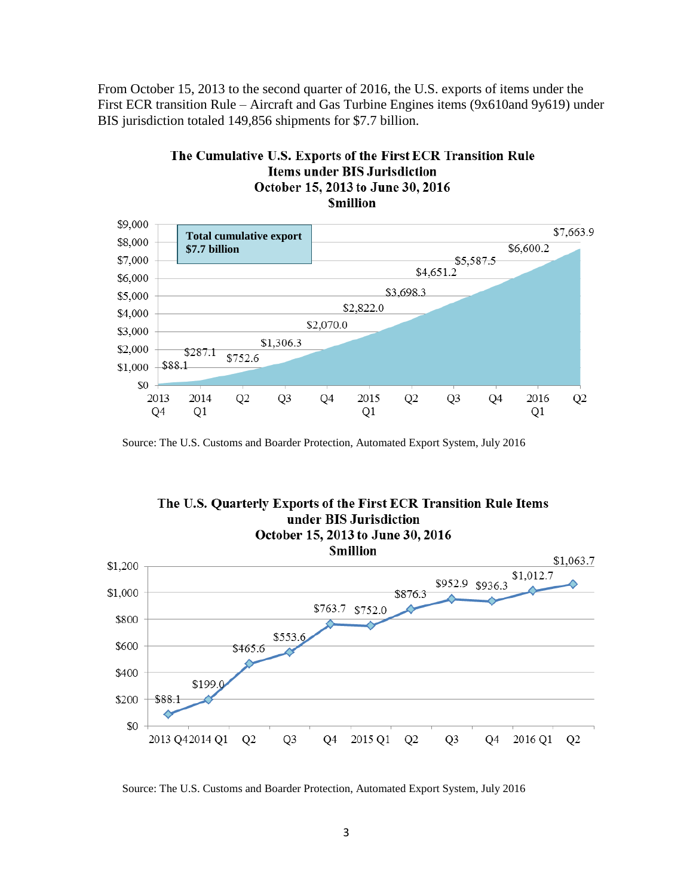From October 15, 2013 to the second quarter of 2016, the U.S. exports of items under the First ECR transition Rule – Aircraft and Gas Turbine Engines items (9x610and 9y619) under BIS jurisdiction totaled 149,856 shipments for \$7.7 billion.

The Cumulative U.S. Exports of the First ECR Transition Rule



Source: The U.S. Customs and Boarder Protection, Automated Export System, July 2016



Source: The U.S. Customs and Boarder Protection, Automated Export System, July 2016